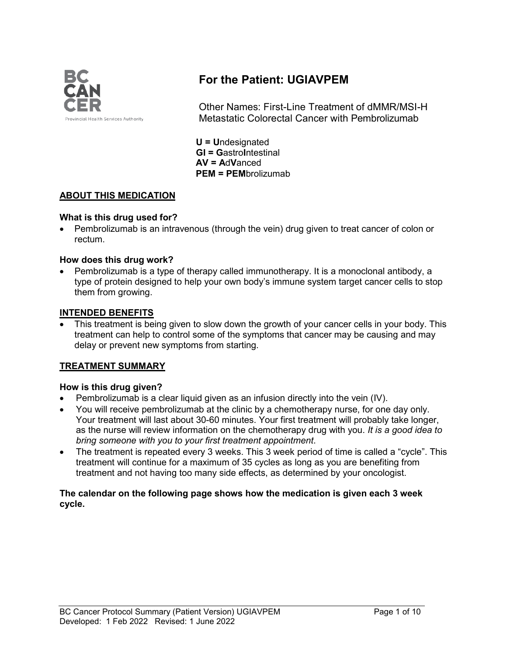

# **For the Patient: UGIAVPEM**

Other Names: First-Line Treatment of dMMR/MSI-H Metastatic Colorectal Cancer with Pembrolizumab

**U = U**ndesignated **GI = G**astro**I**ntestinal **AV = A**d**V**anced **PEM = PEM**brolizumab

## **ABOUT THIS MEDICATION**

#### **What is this drug used for?**

• Pembrolizumab is an intravenous (through the vein) drug given to treat cancer of colon or rectum.

#### **How does this drug work?**

• Pembrolizumab is a type of therapy called immunotherapy. It is a monoclonal antibody, a type of protein designed to help your own body's immune system target cancer cells to stop them from growing.

#### **INTENDED BENEFITS**

This treatment is being given to slow down the growth of your cancer cells in your body. This treatment can help to control some of the symptoms that cancer may be causing and may delay or prevent new symptoms from starting.

## **TREATMENT SUMMARY**

## **How is this drug given?**

- Pembrolizumab is a clear liquid given as an infusion directly into the vein (IV).
- You will receive pembrolizumab at the clinic by a chemotherapy nurse, for one day only. Your treatment will last about 30-60 minutes. Your first treatment will probably take longer, as the nurse will review information on the chemotherapy drug with you. *It is a good idea to bring someone with you to your first treatment appointment*.
- The treatment is repeated every 3 weeks. This 3 week period of time is called a "cycle". This treatment will continue for a maximum of 35 cycles as long as you are benefiting from treatment and not having too many side effects, as determined by your oncologist.

#### **The calendar on the following page shows how the medication is given each 3 week cycle.**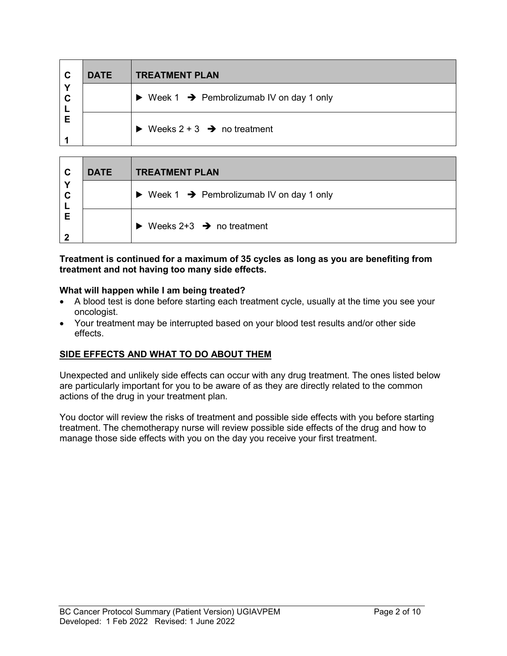| $\mathbf c$ | <b>DATE</b> | <b>TREATMENT PLAN</b>                                                |
|-------------|-------------|----------------------------------------------------------------------|
| Y<br>C      |             | $\triangleright$ Week 1 $\rightarrow$ Pembrolizumab IV on day 1 only |
| Е           |             | Weeks $2 + 3$ $\rightarrow$ no treatment<br>$\blacktriangleright$    |

| $\mathbf{C}$<br><b>DATE</b> |  | <b>TREATMENT PLAN</b>                                                |
|-----------------------------|--|----------------------------------------------------------------------|
| Υ<br>C                      |  | $\triangleright$ Week 1 $\rightarrow$ Pembrolizumab IV on day 1 only |
| Е                           |  | Weeks $2+3$ $\rightarrow$ no treatment<br>$\blacktriangleright$      |

#### **Treatment is continued for a maximum of 35 cycles as long as you are benefiting from treatment and not having too many side effects.**

#### **What will happen while I am being treated?**

- A blood test is done before starting each treatment cycle, usually at the time you see your oncologist.
- Your treatment may be interrupted based on your blood test results and/or other side effects.

## **SIDE EFFECTS AND WHAT TO DO ABOUT THEM**

Unexpected and unlikely side effects can occur with any drug treatment. The ones listed below are particularly important for you to be aware of as they are directly related to the common actions of the drug in your treatment plan.

You doctor will review the risks of treatment and possible side effects with you before starting treatment. The chemotherapy nurse will review possible side effects of the drug and how to manage those side effects with you on the day you receive your first treatment.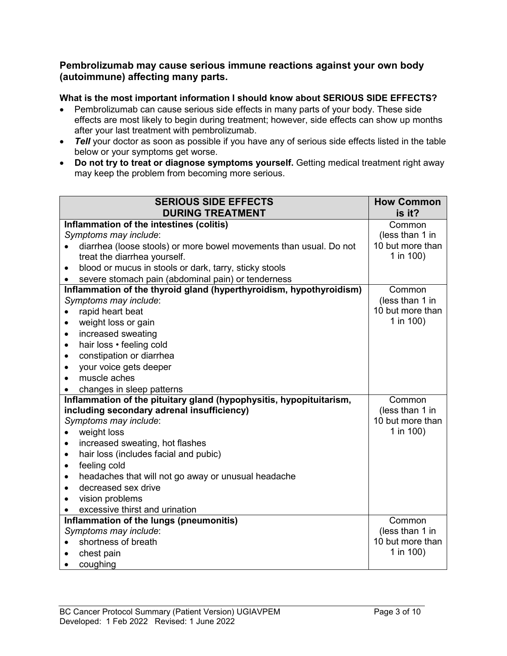## **Pembrolizumab may cause serious immune reactions against your own body (autoimmune) affecting many parts.**

#### **What is the most important information I should know about SERIOUS SIDE EFFECTS?**

- Pembrolizumab can cause serious side effects in many parts of your body. These side effects are most likely to begin during treatment; however, side effects can show up months after your last treatment with pembrolizumab.
- *Tell* your doctor as soon as possible if you have any of serious side effects listed in the table below or your symptoms get worse.
- **Do not try to treat or diagnose symptoms yourself.** Getting medical treatment right away may keep the problem from becoming more serious.

| <b>SERIOUS SIDE EFFECTS</b>                                         | <b>How Common</b> |
|---------------------------------------------------------------------|-------------------|
| <b>DURING TREATMENT</b>                                             | is it?            |
| Inflammation of the intestines (colitis)                            | Common            |
| Symptoms may include:                                               | (less than 1 in   |
| diarrhea (loose stools) or more bowel movements than usual. Do not  | 10 but more than  |
| treat the diarrhea yourself.                                        | 1 in 100)         |
| blood or mucus in stools or dark, tarry, sticky stools<br>$\bullet$ |                   |
| severe stomach pain (abdominal pain) or tenderness                  |                   |
| Inflammation of the thyroid gland (hyperthyroidism, hypothyroidism) | Common            |
| Symptoms may include:                                               | (less than 1 in   |
| rapid heart beat                                                    | 10 but more than  |
| weight loss or gain<br>$\bullet$                                    | 1 in 100)         |
| increased sweating<br>$\bullet$                                     |                   |
| hair loss · feeling cold<br>$\bullet$                               |                   |
| constipation or diarrhea<br>٠                                       |                   |
| your voice gets deeper<br>$\bullet$                                 |                   |
| muscle aches<br>$\bullet$                                           |                   |
| changes in sleep patterns                                           |                   |
| Inflammation of the pituitary gland (hypophysitis, hypopituitarism, | Common            |
| including secondary adrenal insufficiency)                          | (less than 1 in   |
| Symptoms may include:                                               | 10 but more than  |
| weight loss                                                         | 1 in 100)         |
| increased sweating, hot flashes<br>$\bullet$                        |                   |
| hair loss (includes facial and pubic)<br>$\bullet$                  |                   |
| feeling cold<br>$\bullet$                                           |                   |
| headaches that will not go away or unusual headache<br>$\bullet$    |                   |
| decreased sex drive<br>$\bullet$                                    |                   |
| vision problems<br>$\bullet$                                        |                   |
| excessive thirst and urination                                      |                   |
| Inflammation of the lungs (pneumonitis)                             | Common            |
| Symptoms may include:                                               | (less than 1 in   |
| shortness of breath                                                 | 10 but more than  |
| chest pain                                                          | 1 in 100)         |
| coughing                                                            |                   |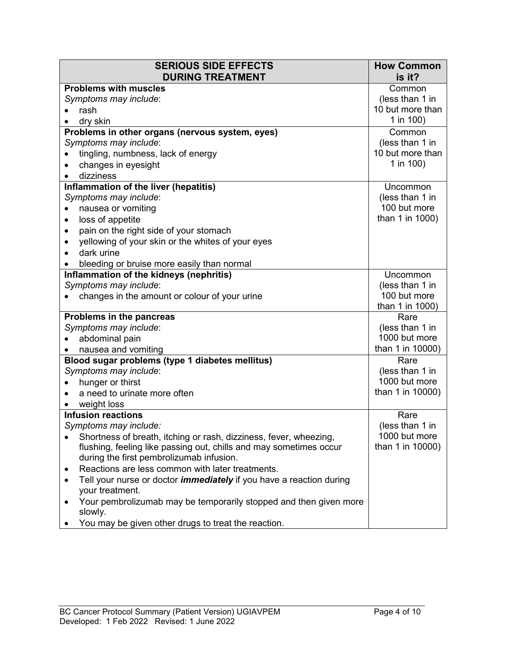| <b>SERIOUS SIDE EFFECTS</b>                                                     | <b>How Common</b>         |
|---------------------------------------------------------------------------------|---------------------------|
| <b>DURING TREATMENT</b><br><b>Problems with muscles</b>                         | is it?                    |
| Symptoms may include:                                                           | Common<br>(less than 1 in |
| rash                                                                            | 10 but more than          |
| dry skin                                                                        | 1 in 100)                 |
| Problems in other organs (nervous system, eyes)                                 | Common                    |
| Symptoms may include:                                                           | (less than 1 in           |
| tingling, numbness, lack of energy                                              | 10 but more than          |
| changes in eyesight                                                             | 1 in $100$ )              |
| dizziness                                                                       |                           |
| Inflammation of the liver (hepatitis)                                           | <b>Uncommon</b>           |
| Symptoms may include:                                                           | (less than 1 in           |
| nausea or vomiting<br>٠                                                         | 100 but more              |
| loss of appetite<br>$\bullet$                                                   | than 1 in 1000)           |
| pain on the right side of your stomach<br>٠                                     |                           |
| yellowing of your skin or the whites of your eyes<br>$\bullet$                  |                           |
| dark urine                                                                      |                           |
| bleeding or bruise more easily than normal                                      |                           |
| Inflammation of the kidneys (nephritis)                                         | Uncommon                  |
| Symptoms may include:                                                           | (less than 1 in           |
| changes in the amount or colour of your urine                                   | 100 but more              |
|                                                                                 | than 1 in 1000)           |
| Problems in the pancreas                                                        | Rare                      |
| Symptoms may include:                                                           | (less than 1 in           |
| abdominal pain                                                                  | 1000 but more             |
| nausea and vomiting                                                             | than 1 in 10000)          |
| Blood sugar problems (type 1 diabetes mellitus)                                 | Rare                      |
| Symptoms may include:                                                           | (less than 1 in           |
| hunger or thirst                                                                | 1000 but more             |
| a need to urinate more often                                                    | than 1 in 10000)          |
| weight loss                                                                     |                           |
| <b>Infusion reactions</b>                                                       | Rare                      |
| Symptoms may include:                                                           | (less than 1 in           |
| Shortness of breath, itching or rash, dizziness, fever, wheezing,               | 1000 but more             |
| flushing, feeling like passing out, chills and may sometimes occur              | than 1 in 10000)          |
| during the first pembrolizumab infusion.                                        |                           |
| Reactions are less common with later treatments.<br>٠                           |                           |
| Tell your nurse or doctor <i>immediately</i> if you have a reaction during<br>٠ |                           |
| your treatment.                                                                 |                           |
| Your pembrolizumab may be temporarily stopped and then given more               |                           |
| slowly.                                                                         |                           |
| You may be given other drugs to treat the reaction.                             |                           |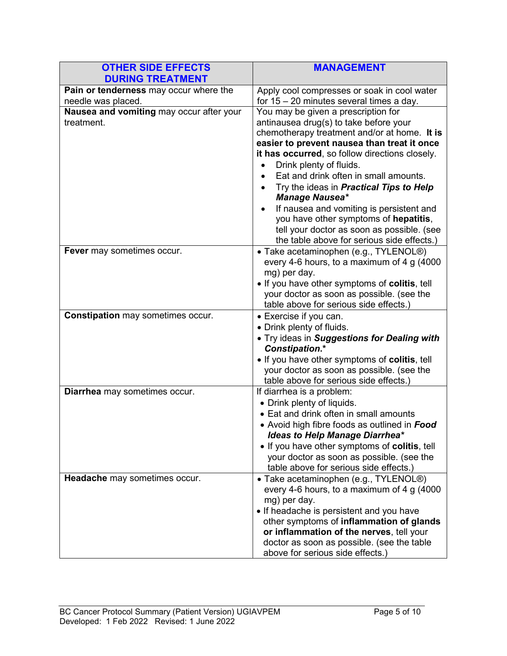| <b>OTHER SIDE EFFECTS</b><br><b>DURING TREATMENT</b>         | <b>MANAGEMENT</b>                                                                                                                                                                                                                                                                                                                                                                                                                                                                                                                                              |
|--------------------------------------------------------------|----------------------------------------------------------------------------------------------------------------------------------------------------------------------------------------------------------------------------------------------------------------------------------------------------------------------------------------------------------------------------------------------------------------------------------------------------------------------------------------------------------------------------------------------------------------|
| Pain or tenderness may occur where the<br>needle was placed. | Apply cool compresses or soak in cool water<br>for $15 - 20$ minutes several times a day.                                                                                                                                                                                                                                                                                                                                                                                                                                                                      |
| Nausea and vomiting may occur after your<br>treatment.       | You may be given a prescription for<br>antinausea drug(s) to take before your<br>chemotherapy treatment and/or at home. It is<br>easier to prevent nausea than treat it once<br>it has occurred, so follow directions closely.<br>Drink plenty of fluids.<br>Eat and drink often in small amounts.<br>Try the ideas in <b>Practical Tips to Help</b><br><b>Manage Nausea*</b><br>If nausea and vomiting is persistent and<br>you have other symptoms of hepatitis,<br>tell your doctor as soon as possible. (see<br>the table above for serious side effects.) |
| Fever may sometimes occur.                                   | • Take acetaminophen (e.g., TYLENOL®)<br>every 4-6 hours, to a maximum of 4 g (4000<br>mg) per day.<br>. If you have other symptoms of colitis, tell<br>your doctor as soon as possible. (see the<br>table above for serious side effects.)                                                                                                                                                                                                                                                                                                                    |
| <b>Constipation may sometimes occur.</b>                     | • Exercise if you can.<br>• Drink plenty of fluids.<br>. Try ideas in Suggestions for Dealing with<br><b>Constipation.*</b><br>. If you have other symptoms of colitis, tell<br>your doctor as soon as possible. (see the<br>table above for serious side effects.)                                                                                                                                                                                                                                                                                            |
| Diarrhea may sometimes occur.                                | If diarrhea is a problem:<br>• Drink plenty of liquids.<br>• Eat and drink often in small amounts<br>• Avoid high fibre foods as outlined in Food<br><b>Ideas to Help Manage Diarrhea*</b><br>• If you have other symptoms of colitis, tell<br>your doctor as soon as possible. (see the<br>table above for serious side effects.)                                                                                                                                                                                                                             |
| Headache may sometimes occur.                                | • Take acetaminophen (e.g., TYLENOL <sup>®</sup> )<br>every 4-6 hours, to a maximum of 4 $g$ (4000<br>mg) per day.<br>• If headache is persistent and you have<br>other symptoms of inflammation of glands<br>or inflammation of the nerves, tell your<br>doctor as soon as possible. (see the table<br>above for serious side effects.)                                                                                                                                                                                                                       |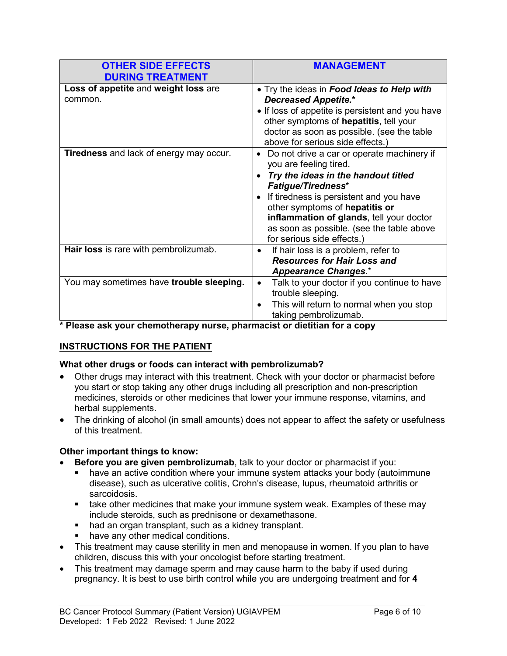| <b>OTHER SIDE EFFECTS</b><br><b>DURING TREATMENT</b> | <b>MANAGEMENT</b>                                                                                                                                                                                                                                                                                                                                         |
|------------------------------------------------------|-----------------------------------------------------------------------------------------------------------------------------------------------------------------------------------------------------------------------------------------------------------------------------------------------------------------------------------------------------------|
| Loss of appetite and weight loss are<br>common.      | • Try the ideas in Food Ideas to Help with<br><b>Decreased Appetite.*</b><br>• If loss of appetite is persistent and you have<br>other symptoms of hepatitis, tell your<br>doctor as soon as possible. (see the table<br>above for serious side effects.)                                                                                                 |
| <b>Tiredness</b> and lack of energy may occur.       | Do not drive a car or operate machinery if<br>$\bullet$<br>you are feeling tired.<br>Try the ideas in the handout titled<br><b>Fatigue/Tiredness*</b><br>If tiredness is persistent and you have<br>other symptoms of hepatitis or<br>inflammation of glands, tell your doctor<br>as soon as possible. (see the table above<br>for serious side effects.) |
| Hair loss is rare with pembrolizumab.                | If hair loss is a problem, refer to<br>$\bullet$<br><b>Resources for Hair Loss and</b><br><b>Appearance Changes.*</b>                                                                                                                                                                                                                                     |
| You may sometimes have trouble sleeping.             | Talk to your doctor if you continue to have<br>$\bullet$<br>trouble sleeping.<br>This will return to normal when you stop<br>$\bullet$<br>taking pembrolizumab.                                                                                                                                                                                           |

**\* Please ask your chemotherapy nurse, pharmacist or dietitian for a copy**

# **INSTRUCTIONS FOR THE PATIENT**

## **What other drugs or foods can interact with pembrolizumab?**

- Other drugs may interact with this treatment. Check with your doctor or pharmacist before you start or stop taking any other drugs including all prescription and non-prescription medicines, steroids or other medicines that lower your immune response, vitamins, and herbal supplements.
- The drinking of alcohol (in small amounts) does not appear to affect the safety or usefulness of this treatment.

## **Other important things to know:**

- **Before you are given pembrolizumab**, talk to your doctor or pharmacist if you:
	- have an active condition where your immune system attacks your body (autoimmune disease), such as ulcerative colitis, Crohn's disease, lupus, rheumatoid arthritis or sarcoidosis.
	- take other medicines that make your immune system weak. Examples of these may include steroids, such as prednisone or dexamethasone.
	- had an organ transplant, such as a kidney transplant.
	- have any other medical conditions.
- This treatment may cause sterility in men and menopause in women. If you plan to have children, discuss this with your oncologist before starting treatment.
- This treatment may damage sperm and may cause harm to the baby if used during pregnancy. It is best to use birth control while you are undergoing treatment and for **4**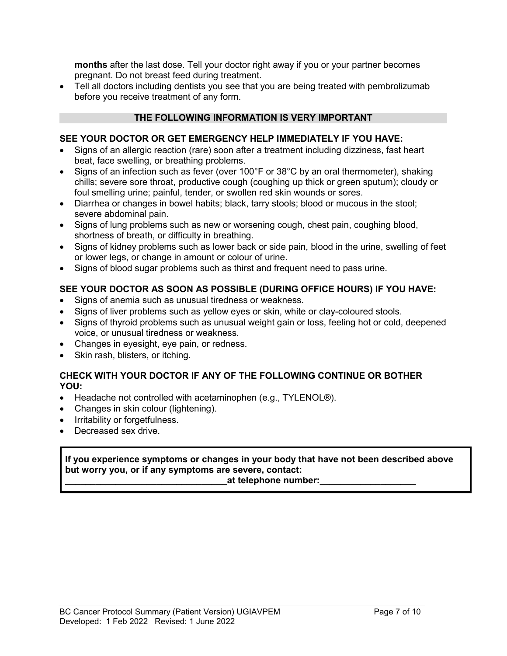**months** after the last dose. Tell your doctor right away if you or your partner becomes pregnant. Do not breast feed during treatment.

• Tell all doctors including dentists you see that you are being treated with pembrolizumab before you receive treatment of any form.

## **THE FOLLOWING INFORMATION IS VERY IMPORTANT**

## **SEE YOUR DOCTOR OR GET EMERGENCY HELP IMMEDIATELY IF YOU HAVE:**

- Signs of an allergic reaction (rare) soon after a treatment including dizziness, fast heart beat, face swelling, or breathing problems.
- Signs of an infection such as fever (over 100°F or 38°C by an oral thermometer), shaking chills; severe sore throat, productive cough (coughing up thick or green sputum); cloudy or foul smelling urine; painful, tender, or swollen red skin wounds or sores.
- Diarrhea or changes in bowel habits; black, tarry stools; blood or mucous in the stool; severe abdominal pain.
- Signs of lung problems such as new or worsening cough, chest pain, coughing blood, shortness of breath, or difficulty in breathing.
- Signs of kidney problems such as lower back or side pain, blood in the urine, swelling of feet or lower legs, or change in amount or colour of urine.
- Signs of blood sugar problems such as thirst and frequent need to pass urine.

## **SEE YOUR DOCTOR AS SOON AS POSSIBLE (DURING OFFICE HOURS) IF YOU HAVE:**

- Signs of anemia such as unusual tiredness or weakness.
- Signs of liver problems such as yellow eyes or skin, white or clay-coloured stools.
- Signs of thyroid problems such as unusual weight gain or loss, feeling hot or cold, deepened voice, or unusual tiredness or weakness.
- Changes in eyesight, eye pain, or redness.
- Skin rash, blisters, or itching.

## **CHECK WITH YOUR DOCTOR IF ANY OF THE FOLLOWING CONTINUE OR BOTHER YOU:**

- Headache not controlled with acetaminophen (e.g., TYLENOL®).
- Changes in skin colour (lightening).
- Irritability or forgetfulness.
- Decreased sex drive.

#### **If you experience symptoms or changes in your body that have not been described above but worry you, or if any symptoms are severe, contact:**

#### **\_\_\_\_\_\_\_\_\_\_\_\_\_\_\_\_\_\_\_\_\_\_\_\_\_\_\_\_\_\_\_\_at telephone number:\_\_\_\_\_\_\_\_\_\_\_\_\_\_\_\_\_\_\_**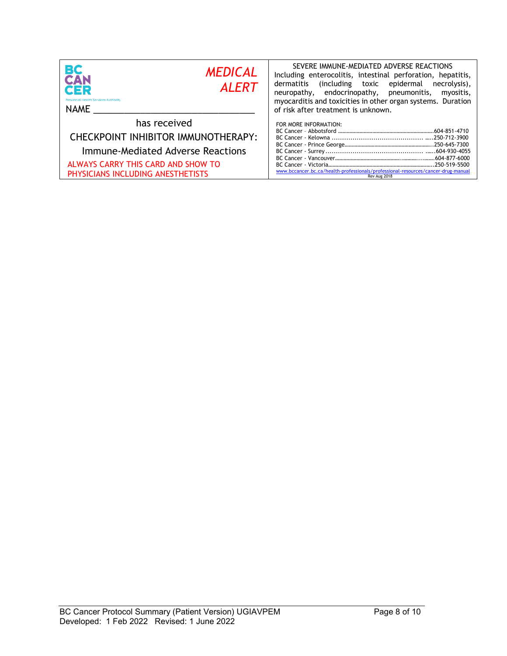| <b>BC</b><br>CAN<br><b>MEDICAL</b><br><b>ALERT</b><br>QER<br><b>Provincial Health Services Authority</b><br>NAME                                                    | SEVERE IMMUNE-MEDIATED ADVERSE REACTIONS<br>Including enterocolitis, intestinal perforation, hepatitis,<br>dermatitis<br>including toxic epidermal)<br>necrolysis),<br>neuropathy, endocrinopathy, pneumonitis,<br>myositis,<br>myocarditis and toxicities in other organ systems. Duration<br>of risk after treatment is unknown. |
|---------------------------------------------------------------------------------------------------------------------------------------------------------------------|------------------------------------------------------------------------------------------------------------------------------------------------------------------------------------------------------------------------------------------------------------------------------------------------------------------------------------|
| has received<br>CHECKPOINT INHIBITOR IMMUNOTHERAPY:<br>Immune-Mediated Adverse Reactions<br>ALWAYS CARRY THIS CARD AND SHOW TO<br>PHYSICIANS INCLUDING ANESTHETISTS | FOR MORE INFORMATION:<br>www.bccancer.bc.ca/health-professionals/professional-resources/cancer-drug-manual<br>Rev Aug 2018                                                                                                                                                                                                         |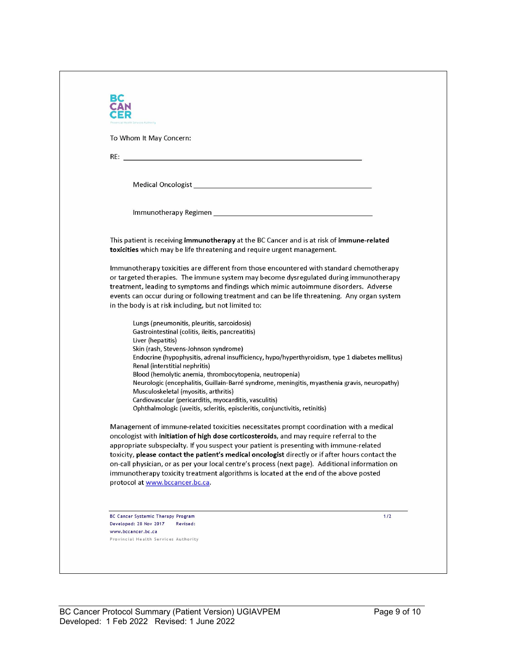| To Whom It May Concern:                                                                                                                |                                                                                                                                                                                     |
|----------------------------------------------------------------------------------------------------------------------------------------|-------------------------------------------------------------------------------------------------------------------------------------------------------------------------------------|
|                                                                                                                                        |                                                                                                                                                                                     |
|                                                                                                                                        |                                                                                                                                                                                     |
|                                                                                                                                        |                                                                                                                                                                                     |
|                                                                                                                                        |                                                                                                                                                                                     |
|                                                                                                                                        |                                                                                                                                                                                     |
|                                                                                                                                        |                                                                                                                                                                                     |
| toxicities which may be life threatening and require urgent management.                                                                | This patient is receiving immunotherapy at the BC Cancer and is at risk of immune-related                                                                                           |
|                                                                                                                                        | Immunotherapy toxicities are different from those encountered with standard chemotherapy<br>or targeted therapies. The immune system may become dysregulated during immunotherapy   |
|                                                                                                                                        | treatment, leading to symptoms and findings which mimic autoimmune disorders. Adverse                                                                                               |
|                                                                                                                                        | events can occur during or following treatment and can be life threatening. Any organ system                                                                                        |
| in the body is at risk including, but not limited to:                                                                                  |                                                                                                                                                                                     |
| Lungs (pneumonitis, pleuritis, sarcoidosis)                                                                                            |                                                                                                                                                                                     |
| Gastrointestinal (colitis, ileitis, pancreatitis)<br>Liver (hepatitis)                                                                 |                                                                                                                                                                                     |
| Skin (rash, Stevens-Johnson syndrome)                                                                                                  |                                                                                                                                                                                     |
|                                                                                                                                        | Endocrine (hypophysitis, adrenal insufficiency, hypo/hyperthyroidism, type 1 diabetes mellitus)                                                                                     |
| Renal (interstitial nephritis)<br>Blood (hemolytic anemia, thrombocytopenia, neutropenia)                                              |                                                                                                                                                                                     |
|                                                                                                                                        | Neurologic (encephalitis, Guillain-Barré syndrome, meningitis, myasthenia gravis, neuropathy)                                                                                       |
| Musculoskeletal (myositis, arthritis)                                                                                                  |                                                                                                                                                                                     |
| Cardiovascular (pericarditis, myocarditis, vasculitis)<br>Ophthalmologic (uveitis, scleritis, episcleritis, conjunctivitis, retinitis) |                                                                                                                                                                                     |
|                                                                                                                                        | Management of immune-related toxicities necessitates prompt coordination with a medical                                                                                             |
|                                                                                                                                        | oncologist with initiation of high dose corticosteroids, and may require referral to the<br>appropriate subspecialty. If you suspect your patient is presenting with immune-related |
|                                                                                                                                        | toxicity, please contact the patient's medical oncologist directly or if after hours contact the                                                                                    |
|                                                                                                                                        | on-call physician, or as per your local centre's process (next page). Additional information on                                                                                     |
|                                                                                                                                        | immunotherapy toxicity treatment algorithms is located at the end of the above posted                                                                                               |
| protocol at www.bccancer.bc.ca.                                                                                                        |                                                                                                                                                                                     |
|                                                                                                                                        |                                                                                                                                                                                     |
| BC Cancer Systemic Therapy Program                                                                                                     | 1/2                                                                                                                                                                                 |
| Developed: 28 Nov 2017<br>Revised:<br>www.bccancer.bc.ca                                                                               |                                                                                                                                                                                     |